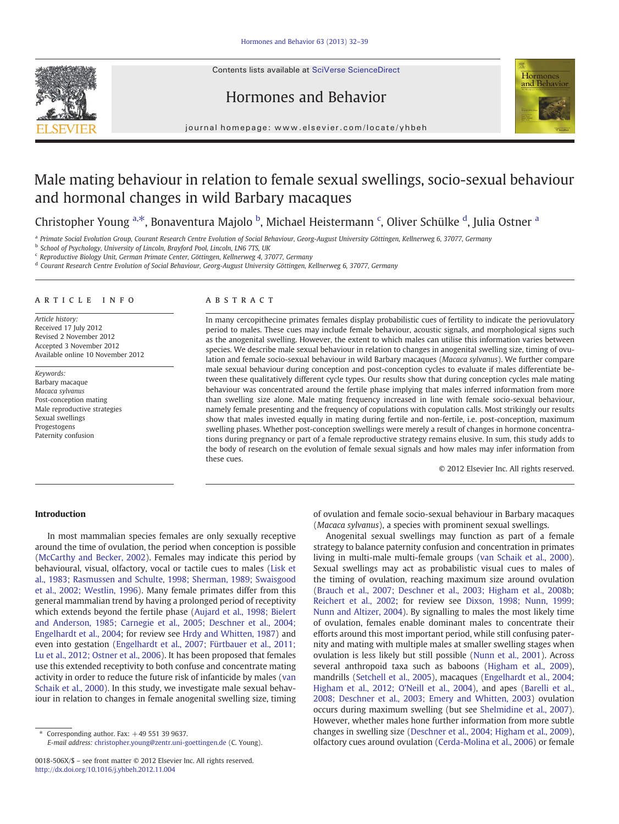Contents lists available at SciVerse ScienceDirect







journal homepage: www.elsevier.com/locate/yhbeh

# Male mating behaviour in relation to female sexual swellings, socio-sexual behaviour and hormonal changes in wild Barbary macaques

Christopher Young <sup>a,\*</sup>, Bonaventura Majolo <sup>b</sup>, Michael Heistermann <sup>c</sup>, Oliver Schülke <sup>d</sup>, Julia Ostner <sup>a</sup>

a Primate Social Evolution Group, Courant Research Centre Evolution of Social Behaviour, Georg-August University Göttingen, Kellnerweg 6, 37077, Germany

**b** School of Psychology, University of Lincoln, Brayford Pool, Lincoln, LN6 7TS, UK

<sup>c</sup> Reproductive Biology Unit, German Primate Center, Göttingen, Kellnerweg 4, 37077, Germany

<sup>d</sup> Courant Research Centre Evolution of Social Behaviour, Georg-August University Göttingen, Kellnerweg 6, 37077, Germany

#### article info abstract

Article history: Received 17 July 2012 Revised 2 November 2012 Accepted 3 November 2012 Available online 10 November 2012

Keywords: Barbary macaque Macaca sylvanus Post-conception mating Male reproductive strategies Sexual swellings Progestogens Paternity confusion

In many cercopithecine primates females display probabilistic cues of fertility to indicate the periovulatory period to males. These cues may include female behaviour, acoustic signals, and morphological signs such as the anogenital swelling. However, the extent to which males can utilise this information varies between species. We describe male sexual behaviour in relation to changes in anogenital swelling size, timing of ovulation and female socio-sexual behaviour in wild Barbary macaques (Macaca sylvanus). We further compare male sexual behaviour during conception and post-conception cycles to evaluate if males differentiate between these qualitatively different cycle types. Our results show that during conception cycles male mating behaviour was concentrated around the fertile phase implying that males inferred information from more than swelling size alone. Male mating frequency increased in line with female socio-sexual behaviour, namely female presenting and the frequency of copulations with copulation calls. Most strikingly our results show that males invested equally in mating during fertile and non-fertile, i.e. post-conception, maximum swelling phases. Whether post-conception swellings were merely a result of changes in hormone concentrations during pregnancy or part of a female reproductive strategy remains elusive. In sum, this study adds to the body of research on the evolution of female sexual signals and how males may infer information from these cues.

© 2012 Elsevier Inc. All rights reserved.

## Introduction

In most mammalian species females are only sexually receptive around the time of ovulation, the period when conception is possible [\(McCarthy and Becker, 2002](#page-6-0)). Females may indicate this period by behavioural, visual, olfactory, vocal or tactile cues to males ([Lisk et](#page-6-0) [al., 1983; Rasmussen and Schulte, 1998; Sherman, 1989; Swaisgood](#page-6-0) [et al., 2002; Westlin, 1996\)](#page-6-0). Many female primates differ from this general mammalian trend by having a prolonged period of receptivity which extends beyond the fertile phase [\(Aujard et al., 1998; Bielert](#page-6-0) [and Anderson, 1985; Carnegie et al., 2005; Deschner et al., 2004;](#page-6-0) [Engelhardt et al., 2004](#page-6-0); for review see [Hrdy and Whitten, 1987](#page-6-0)) and even into gestation ([Engelhardt et al., 2007; Fürtbauer et al., 2011;](#page-6-0) [Lu et al., 2012; Ostner et al., 2006\)](#page-6-0). It has been proposed that females use this extended receptivity to both confuse and concentrate mating activity in order to reduce the future risk of infanticide by males ([van](#page-7-0) [Schaik et al., 2000](#page-7-0)). In this study, we investigate male sexual behaviour in relation to changes in female anogenital swelling size, timing

E-mail address: [christopher.young@zentr.uni-goettingen.de](mailto:christopher.young@zentr.uni-goettingen.de) (C. Young).

of ovulation and female socio-sexual behaviour in Barbary macaques (Macaca sylvanus), a species with prominent sexual swellings.

Anogenital sexual swellings may function as part of a female strategy to balance paternity confusion and concentration in primates living in multi-male multi-female groups [\(van Schaik et al., 2000](#page-7-0)). Sexual swellings may act as probabilistic visual cues to males of the timing of ovulation, reaching maximum size around ovulation [\(Brauch et al., 2007; Deschner et al., 2003; Higham et al., 2008b;](#page-6-0) [Reichert et al., 2002;](#page-6-0) for review see [Dixson, 1998; Nunn, 1999;](#page-6-0) [Nunn and Altizer, 2004](#page-6-0)). By signalling to males the most likely time of ovulation, females enable dominant males to concentrate their efforts around this most important period, while still confusing paternity and mating with multiple males at smaller swelling stages when ovulation is less likely but still possible ([Nunn et al., 2001\)](#page-6-0). Across several anthropoid taxa such as baboons ([Higham et al., 2009](#page-6-0)), mandrills ([Setchell et al., 2005](#page-7-0)), macaques [\(Engelhardt et al., 2004;](#page-6-0) [Higham et al., 2012; O'Neill et al., 2004\)](#page-6-0), and apes ([Barelli et al.,](#page-6-0) [2008; Deschner et al., 2003; Emery and Whitten, 2003](#page-6-0)) ovulation occurs during maximum swelling (but see [Shelmidine et al., 2007](#page-7-0)). However, whether males hone further information from more subtle changes in swelling size [\(Deschner et al., 2004; Higham et al., 2009](#page-6-0)), olfactory cues around ovulation [\(Cerda-Molina et al., 2006\)](#page-6-0) or female

 $*$  Corresponding author. Fax:  $+49$  551 39 9637.

<sup>0018-506</sup>X/\$ – see front matter © 2012 Elsevier Inc. All rights reserved. <http://dx.doi.org/10.1016/j.yhbeh.2012.11.004>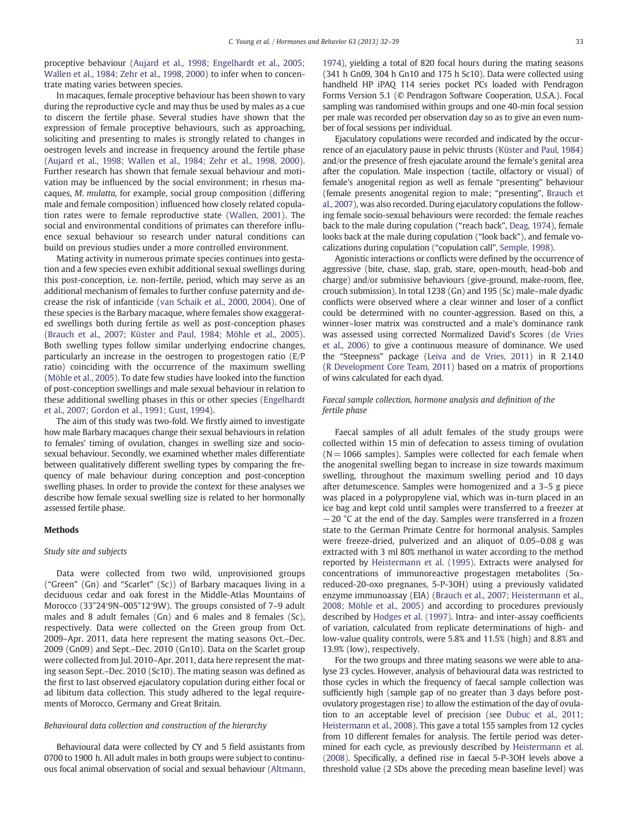<span id="page-1-0"></span>proceptive behaviour [\(Aujard et al., 1998; Engelhardt et al., 2005;](#page-6-0) [Wallen et al., 1984; Zehr et al., 1998, 2000](#page-6-0)) to infer when to concentrate mating varies between species.

In macaques, female proceptive behaviour has been shown to vary during the reproductive cycle and may thus be used by males as a cue to discern the fertile phase. Several studies have shown that the expression of female proceptive behaviours, such as approaching, soliciting and presenting to males is strongly related to changes in oestrogen levels and increase in frequency around the fertile phase [\(Aujard et al., 1998; Wallen et al., 1984; Zehr et al., 1998, 2000](#page-6-0)). Further research has shown that female sexual behaviour and motivation may be influenced by the social environment; in rhesus macaques, M. mulatta, for example, social group composition (differing male and female composition) influenced how closely related copulation rates were to female reproductive state ([Wallen, 2001\)](#page-7-0). The social and environmental conditions of primates can therefore influence sexual behaviour so research under natural conditions can build on previous studies under a more controlled environment.

Mating activity in numerous primate species continues into gestation and a few species even exhibit additional sexual swellings during this post-conception, i.e. non-fertile, period, which may serve as an additional mechanism of females to further confuse paternity and decrease the risk of infanticide [\(van Schaik et al., 2000, 2004\)](#page-7-0). One of these species is the Barbary macaque, where females show exaggerated swellings both during fertile as well as post-conception phases [\(Brauch et al., 2007; Küster and Paul, 1984; Möhle et al., 2005](#page-6-0)). Both swelling types follow similar underlying endocrine changes, particularly an increase in the oestrogen to progestogen ratio (E/P ratio) coinciding with the occurrence of the maximum swelling [\(Möhle et al., 2005\)](#page-6-0). To date few studies have looked into the function of post-conception swellings and male sexual behaviour in relation to these additional swelling phases in this or other species ([Engelhardt](#page-6-0) [et al., 2007; Gordon et al., 1991; Gust, 1994\)](#page-6-0).

The aim of this study was two-fold. We firstly aimed to investigate how male Barbary macaques change their sexual behaviours in relation to females' timing of ovulation, changes in swelling size and sociosexual behaviour. Secondly, we examined whether males differentiate between qualitatively different swelling types by comparing the frequency of male behaviour during conception and post-conception swelling phases. In order to provide the context for these analyses we describe how female sexual swelling size is related to her hormonally assessed fertile phase.

#### **Methods**

#### Study site and subjects

Data were collected from two wild, unprovisioned groups ("Green" (Gn) and "Scarlet" (Sc)) of Barbary macaques living in a deciduous cedar and oak forest in the Middle-Atlas Mountains of Morocco (33°24′9N–005°12′9W). The groups consisted of 7–9 adult males and 8 adult females (Gn) and 6 males and 8 females (Sc), respectively. Data were collected on the Green group from Oct. 2009–Apr. 2011, data here represent the mating seasons Oct.–Dec. 2009 (Gn09) and Sept.–Dec. 2010 (Gn10). Data on the Scarlet group were collected from Jul. 2010–Apr. 2011, data here represent the mating season Sept.–Dec. 2010 (Sc10). The mating season was defined as the first to last observed ejaculatory copulation during either focal or ad libitum data collection. This study adhered to the legal requirements of Morocco, Germany and Great Britain.

#### Behavioural data collection and construction of the hierarchy

Behavioural data were collected by CY and 5 field assistants from 0700 to 1900 h. All adult males in both groups were subject to continuous focal animal observation of social and sexual behaviour [\(Altmann,](#page-6-0) [1974](#page-6-0)), yielding a total of 820 focal hours during the mating seasons (341 h Gn09, 304 h Gn10 and 175 h Sc10). Data were collected using handheld HP iPAQ 114 series pocket PCs loaded with Pendragon Forms Version 5.1 (© Pendragon Software Cooperation, U.S.A.). Focal sampling was randomised within groups and one 40-min focal session per male was recorded per observation day so as to give an even number of focal sessions per individual.

Ejaculatory copulations were recorded and indicated by the occurrence of an ejaculatory pause in pelvic thrusts [\(Küster and Paul, 1984](#page-6-0)) and/or the presence of fresh ejaculate around the female's genital area after the copulation. Male inspection (tactile, olfactory or visual) of female's anogenital region as well as female "presenting" behaviour (female presents anogenital region to male; "presenting", [Brauch et](#page-6-0) [al., 2007\)](#page-6-0), was also recorded. During ejaculatory copulations the following female socio-sexual behaviours were recorded: the female reaches back to the male during copulation ("reach back", [Deag, 1974](#page-6-0)), female looks back at the male during copulation ("look back"), and female vocalizations during copulation ("copulation call", [Semple, 1998](#page-7-0)).

Agonistic interactions or conflicts were defined by the occurrence of aggressive (bite, chase, slap, grab, stare, open-mouth, head-bob and charge) and/or submissive behaviours (give-ground, make-room, flee, crouch submission). In total 1238 (Gn) and 195 (Sc) male–male dyadic conflicts were observed where a clear winner and loser of a conflict could be determined with no counter-aggression. Based on this, a winner–loser matrix was constructed and a male's dominance rank was assessed using corrected Normalized David's Scores ([de Vries](#page-6-0) [et al., 2006](#page-6-0)) to give a continuous measure of dominance. We used the "Steepness" package [\(Leiva and de Vries, 2011\)](#page-6-0) in R 2.14.0 [\(R Development Core Team, 2011](#page-6-0)) based on a matrix of proportions of wins calculated for each dyad.

### Faecal sample collection, hormone analysis and definition of the fertile phase

Faecal samples of all adult females of the study groups were collected within 15 min of defecation to assess timing of ovulation  $(N= 1066$  samples). Samples were collected for each female when the anogenital swelling began to increase in size towards maximum swelling, throughout the maximum swelling period and 10 days after detumescence. Samples were homogenized and a 3–5 g piece was placed in a polypropylene vial, which was in-turn placed in an ice bag and kept cold until samples were transferred to a freezer at −20 °C at the end of the day. Samples were transferred in a frozen state to the German Primate Centre for hormonal analysis. Samples were freeze-dried, pulverized and an aliquot of 0.05–0.08 g was extracted with 3 ml 80% methanol in water according to the method reported by [Heistermann et al. \(1995\)](#page-6-0). Extracts were analysed for concentrations of immunoreactive progestagen metabolites (5αreduced-20-oxo pregnanes, 5-P-3OH) using a previously validated enzyme immunoassay (EIA) [\(Brauch et al., 2007; Heistermann et al.,](#page-6-0) [2008; Möhle et al., 2005\)](#page-6-0) and according to procedures previously described by [Hodges et al. \(1997\)](#page-6-0). Intra- and inter-assay coefficients of variation, calculated from replicate determinations of high- and low-value quality controls, were 5.8% and 11.5% (high) and 8.8% and 13.9% (low), respectively.

For the two groups and three mating seasons we were able to analyse 23 cycles. However, analysis of behavioural data was restricted to those cycles in which the frequency of faecal sample collection was sufficiently high (sample gap of no greater than 3 days before postovulatory progestagen rise) to allow the estimation of the day of ovulation to an acceptable level of precision (see [Dubuc et al., 2011;](#page-6-0) [Heistermann et al., 2008\)](#page-6-0). This gave a total 155 samples from 12 cycles from 10 different females for analysis. The fertile period was determined for each cycle, as previously described by [Heistermann et al.](#page-6-0) [\(2008\)](#page-6-0). Specifically, a defined rise in faecal 5-P-3OH levels above a threshold value (2 SDs above the preceding mean baseline level) was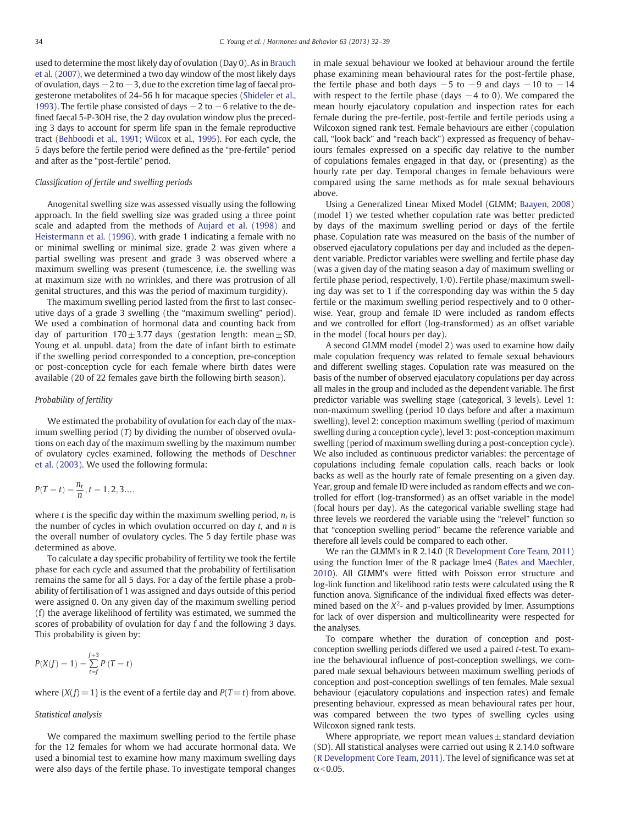used to determine the most likely day of ovulation (Day 0). As in [Brauch](#page-6-0) [et al. \(2007\)](#page-6-0), we determined a two day window of the most likely days of ovulation, days  $-2$  to  $-3$ , due to the excretion time lag of faecal progesterone metabolites of 24–56 h for macaque species [\(Shideler et al.,](#page-7-0) [1993\)](#page-7-0). The fertile phase consisted of days −2 to −6 relative to the defined faecal 5-P-3OH rise, the 2 day ovulation window plus the preceding 3 days to account for sperm life span in the female reproductive tract ([Behboodi et al., 1991; Wilcox et al., 1995](#page-6-0)). For each cycle, the 5 days before the fertile period were defined as the "pre-fertile" period and after as the "post-fertile" period.

#### Classification of fertile and swelling periods

Anogenital swelling size was assessed visually using the following approach. In the field swelling size was graded using a three point scale and adapted from the methods of [Aujard et al. \(1998\)](#page-6-0) and [Heistermann et al. \(1996\)](#page-6-0), with grade 1 indicating a female with no or minimal swelling or minimal size, grade 2 was given where a partial swelling was present and grade 3 was observed where a maximum swelling was present (tumescence, i.e. the swelling was at maximum size with no wrinkles, and there was protrusion of all genital structures, and this was the period of maximum turgidity).

The maximum swelling period lasted from the first to last consecutive days of a grade 3 swelling (the "maximum swelling" period). We used a combination of hormonal data and counting back from day of parturition  $170 \pm 3.77$  days (gestation length: mean $\pm$  SD, Young et al. unpubl. data) from the date of infant birth to estimate if the swelling period corresponded to a conception, pre-conception or post-conception cycle for each female where birth dates were available (20 of 22 females gave birth the following birth season).

# Probability of fertility

We estimated the probability of ovulation for each day of the maximum swelling period (T) by dividing the number of observed ovulations on each day of the maximum swelling by the maximum number of ovulatory cycles examined, following the methods of [Deschner](#page-6-0) [et al. \(2003\).](#page-6-0) We used the following formula:

$$
P(T = t) = \frac{n_t}{n}, t = 1, 2, 3...
$$

where t is the specific day within the maximum swelling period,  $n_t$  is the number of cycles in which ovulation occurred on day  $t$ , and  $n$  is the overall number of ovulatory cycles. The 5 day fertile phase was determined as above.

To calculate a day specific probability of fertility we took the fertile phase for each cycle and assumed that the probability of fertilisation remains the same for all 5 days. For a day of the fertile phase a probability of fertilisation of 1 was assigned and days outside of this period were assigned 0. On any given day of the maximum swelling period (f) the average likelihood of fertility was estimated, we summed the scores of probability of ovulation for day f and the following 3 days. This probability is given by:

$$
P(X(f) = 1) = \sum_{t=f}^{f+3} P(T = t)
$$

where  $\{X(f)= 1\}$  is the event of a fertile day and  $P(T=t)$  from above.

### Statistical analysis

We compared the maximum swelling period to the fertile phase for the 12 females for whom we had accurate hormonal data. We used a binomial test to examine how many maximum swelling days were also days of the fertile phase. To investigate temporal changes in male sexual behaviour we looked at behaviour around the fertile phase examining mean behavioural rates for the post-fertile phase, the fertile phase and both days  $-5$  to  $-9$  and days  $-10$  to  $-14$ with respect to the fertile phase (days  $-4$  to 0). We compared the mean hourly ejaculatory copulation and inspection rates for each female during the pre-fertile, post-fertile and fertile periods using a Wilcoxon signed rank test. Female behaviours are either (copulation call, "look back" and "reach back") expressed as frequency of behaviours females expressed on a specific day relative to the number of copulations females engaged in that day, or (presenting) as the hourly rate per day. Temporal changes in female behaviours were compared using the same methods as for male sexual behaviours above.

Using a Generalized Linear Mixed Model (GLMM; [Baayen, 2008](#page-6-0)) (model 1) we tested whether copulation rate was better predicted by days of the maximum swelling period or days of the fertile phase. Copulation rate was measured on the basis of the number of observed ejaculatory copulations per day and included as the dependent variable. Predictor variables were swelling and fertile phase day (was a given day of the mating season a day of maximum swelling or fertile phase period, respectively, 1/0). Fertile phase/maximum swelling day was set to 1 if the corresponding day was within the 5 day fertile or the maximum swelling period respectively and to 0 otherwise. Year, group and female ID were included as random effects and we controlled for effort (log-transformed) as an offset variable in the model (focal hours per day).

A second GLMM model (model 2) was used to examine how daily male copulation frequency was related to female sexual behaviours and different swelling stages. Copulation rate was measured on the basis of the number of observed ejaculatory copulations per day across all males in the group and included as the dependent variable. The first predictor variable was swelling stage (categorical, 3 levels). Level 1: non-maximum swelling (period 10 days before and after a maximum swelling), level 2: conception maximum swelling (period of maximum swelling during a conception cycle), level 3: post-conception maximum swelling (period of maximum swelling during a post-conception cycle). We also included as continuous predictor variables: the percentage of copulations including female copulation calls, reach backs or look backs as well as the hourly rate of female presenting on a given day. Year, group and female ID were included as random effects and we controlled for effort (log-transformed) as an offset variable in the model (focal hours per day). As the categorical variable swelling stage had three levels we reordered the variable using the "relevel" function so that "conception swelling period" became the reference variable and therefore all levels could be compared to each other.

We ran the GLMM's in R 2.14.0 ([R Development Core Team, 2011](#page-6-0)) using the function lmer of the R package lme4 ([Bates and Maechler,](#page-6-0) [2010\)](#page-6-0). All GLMM's were fitted with Poisson error structure and log-link function and likelihood ratio tests were calculated using the R function anova. Significance of the individual fixed effects was determined based on the  $X^2$ - and p-values provided by lmer. Assumptions for lack of over dispersion and multicollinearity were respected for the analyses.

To compare whether the duration of conception and postconception swelling periods differed we used a paired t-test. To examine the behavioural influence of post-conception swellings, we compared male sexual behaviours between maximum swelling periods of conception and post-conception swellings of ten females. Male sexual behaviour (ejaculatory copulations and inspection rates) and female presenting behaviour, expressed as mean behavioural rates per hour, was compared between the two types of swelling cycles using Wilcoxon signed rank tests.

Where appropriate, we report mean values  $\pm$  standard deviation (SD). All statistical analyses were carried out using R 2.14.0 software [\(R Development Core Team, 2011\)](#page-6-0). The level of significance was set at  $\alpha < 0.05$ .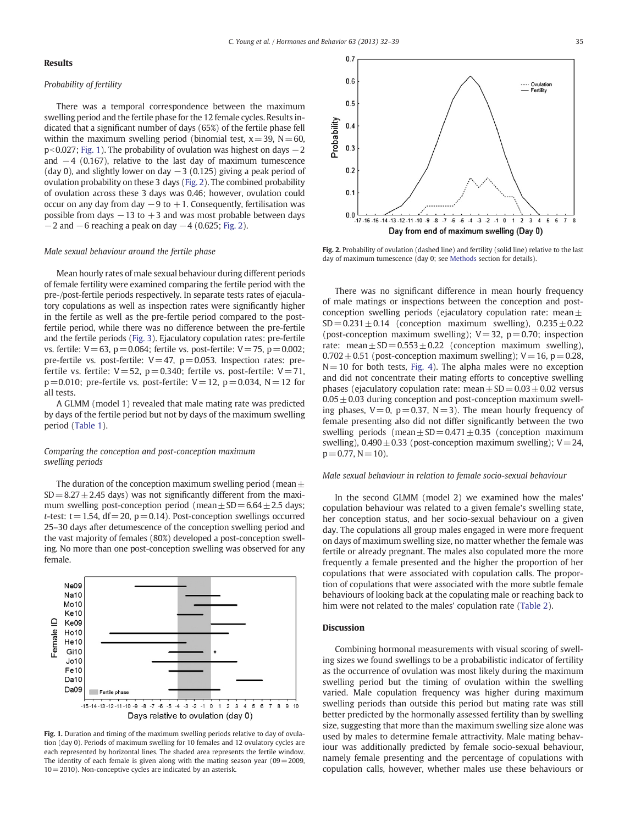#### Results

#### Probability of fertility

There was a temporal correspondence between the maximum swelling period and the fertile phase for the 12 female cycles. Results indicated that a significant number of days (65%) of the fertile phase fell within the maximum swelling period (binomial test,  $x=39$ ,  $N=60$ ,  $p<0.027$ ; Fig. 1). The probability of ovulation was highest on days  $-2$ and  $-4$  (0.167), relative to the last day of maximum tumescence (day 0), and slightly lower on day  $-3$  (0.125) giving a peak period of ovulation probability on these 3 days (Fig. 2). The combined probability of ovulation across these 3 days was 0.46; however, ovulation could occur on any day from day  $-9$  to  $+1$ . Consequently, fertilisation was possible from days  $-13$  to  $+3$  and was most probable between days  $-2$  and  $-6$  reaching a peak on day  $-4$  (0.625; Fig. 2).

#### Male sexual behaviour around the fertile phase

Mean hourly rates of male sexual behaviour during different periods of female fertility were examined comparing the fertile period with the pre-/post-fertile periods respectively. In separate tests rates of ejaculatory copulations as well as inspection rates were significantly higher in the fertile as well as the pre-fertile period compared to the postfertile period, while there was no difference between the pre-fertile and the fertile periods [\(Fig. 3](#page-4-0)). Ejaculatory copulation rates: pre-fertile vs. fertile:  $V=63$ ,  $p=0.064$ ; fertile vs. post-fertile:  $V=75$ ,  $p=0.002$ ; pre-fertile vs. post-fertile:  $V=47$ ,  $p=0.053$ . Inspection rates: prefertile vs. fertile:  $V = 52$ ,  $p = 0.340$ ; fertile vs. post-fertile:  $V = 71$ ,  $p=0.010$ ; pre-fertile vs. post-fertile:  $V= 12$ ,  $p= 0.034$ ,  $N= 12$  for all tests.

A GLMM (model 1) revealed that male mating rate was predicted by days of the fertile period but not by days of the maximum swelling period [\(Table 1](#page-4-0)).

# Comparing the conception and post-conception maximum swelling periods

The duration of the conception maximum swelling period (mean  $\pm$  $SD = 8.27 \pm 2.45$  days) was not significantly different from the maximum swelling post-conception period (mean $\pm$ SD=6.64 $\pm$ 2.5 days; t-test:  $t = 1.54$ ,  $df = 20$ ,  $p = 0.14$ ). Post-conception swellings occurred 25–30 days after detumescence of the conception swelling period and the vast majority of females (80%) developed a post-conception swelling. No more than one post-conception swelling was observed for any female.



Fig. 1. Duration and timing of the maximum swelling periods relative to day of ovulation (day 0). Periods of maximum swelling for 10 females and 12 ovulatory cycles are each represented by horizontal lines. The shaded area represents the fertile window. The identity of each female is given along with the mating season year  $(09=2009, 0.001)$  $10=2010$ ). Non-conceptive cycles are indicated by an asterisk.

 $0.6$ ---- Ovulation<br>--- Fertility  $0.5$ vilidedor<sup>c</sup>  $0.4$  $0.3$  $0.2$  $0.1$  $0.0$  $-17-16-15-14-13-12-11-10-9-8-7-6-5-4-3-2-10+2$  $\overline{\mathbf{3}}$  $\overline{4}$ 5 Day from end of maximum swelling (Day 0)

 $0.7$ 

Fig. 2. Probability of ovulation (dashed line) and fertility (solid line) relative to the last day of maximum tumescence (day 0; see [Methods](#page-1-0) section for details).

There was no significant difference in mean hourly frequency of male matings or inspections between the conception and postconception swelling periods (ejaculatory copulation rate: mean $\pm$  $SD = 0.231 \pm 0.14$  (conception maximum swelling),  $0.235 \pm 0.22$ (post-conception maximum swelling);  $V= 32$ ,  $p= 0.70$ ; inspection rate: mean  $\pm$  SD = 0.553 $\pm$  0.22 (conception maximum swelling),  $0.702 \pm 0.51$  (post-conception maximum swelling); V = 16, p = 0.28,  $N= 10$  for both tests, [Fig. 4](#page-4-0)). The alpha males were no exception and did not concentrate their mating efforts to conceptive swelling phases (ejaculatory copulation rate: mean  $\pm$  SD = 0.03  $\pm$  0.02 versus  $0.05 \pm 0.03$  during conception and post-conception maximum swelling phases,  $V= 0$ ,  $p=0.37$ ,  $N= 3$ ). The mean hourly frequency of female presenting also did not differ significantly between the two swelling periods (mean $\pm$  SD = 0.471 $\pm$ 0.35 (conception maximum swelling),  $0.490 \pm 0.33$  (post-conception maximum swelling); V = 24,  $p=0.77, N=10$ ).

#### Male sexual behaviour in relation to female socio-sexual behaviour

In the second GLMM (model 2) we examined how the males' copulation behaviour was related to a given female's swelling state, her conception status, and her socio-sexual behaviour on a given day. The copulations all group males engaged in were more frequent on days of maximum swelling size, no matter whether the female was fertile or already pregnant. The males also copulated more the more frequently a female presented and the higher the proportion of her copulations that were associated with copulation calls. The proportion of copulations that were associated with the more subtle female behaviours of looking back at the copulating male or reaching back to him were not related to the males' copulation rate [\(Table 2](#page-5-0)).

#### Discussion

Combining hormonal measurements with visual scoring of swelling sizes we found swellings to be a probabilistic indicator of fertility as the occurrence of ovulation was most likely during the maximum swelling period but the timing of ovulation within the swelling varied. Male copulation frequency was higher during maximum swelling periods than outside this period but mating rate was still better predicted by the hormonally assessed fertility than by swelling size, suggesting that more than the maximum swelling size alone was used by males to determine female attractivity. Male mating behaviour was additionally predicted by female socio-sexual behaviour, namely female presenting and the percentage of copulations with copulation calls, however, whether males use these behaviours or

8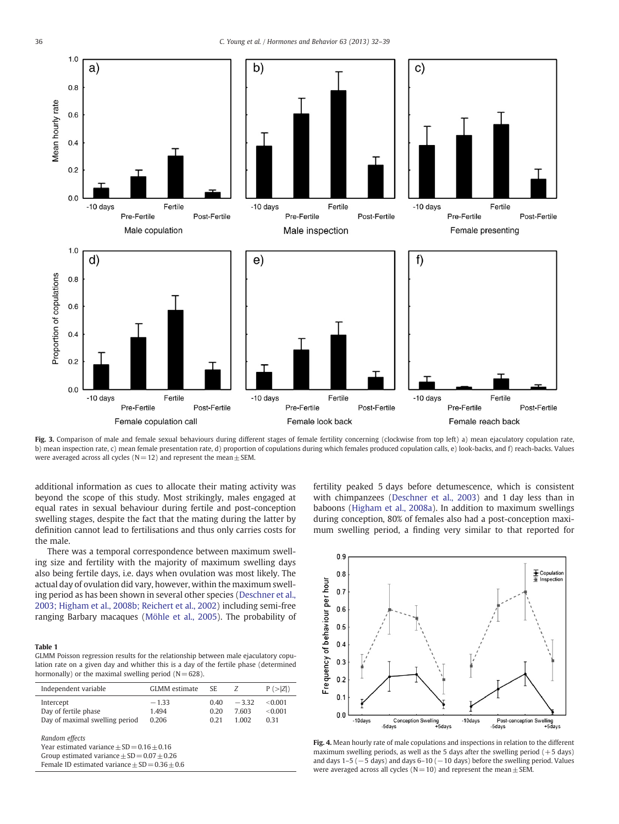<span id="page-4-0"></span>

Fig. 3. Comparison of male and female sexual behaviours during different stages of female fertility concerning (clockwise from top left) a) mean ejaculatory copulation rate, b) mean inspection rate, c) mean female presentation rate, d) proportion of copulations during which females produced copulation calls, e) look-backs, and f) reach-backs. Values were averaged across all cycles ( $N=12$ ) and represent the mean  $\pm$  SEM.

additional information as cues to allocate their mating activity was beyond the scope of this study. Most strikingly, males engaged at equal rates in sexual behaviour during fertile and post-conception swelling stages, despite the fact that the mating during the latter by definition cannot lead to fertilisations and thus only carries costs for the male.

There was a temporal correspondence between maximum swelling size and fertility with the majority of maximum swelling days also being fertile days, i.e. days when ovulation was most likely. The actual day of ovulation did vary, however, within the maximum swelling period as has been shown in several other species [\(Deschner et al.,](#page-6-0) [2003; Higham et al., 2008b; Reichert et al., 2002](#page-6-0)) including semi-free ranging Barbary macaques ([Möhle et al., 2005\)](#page-6-0). The probability of

#### Table 1

GLMM Poisson regression results for the relationship between male ejaculatory copulation rate on a given day and whither this is a day of the fertile phase (determined hormonally) or the maximal swelling period  $(N=628)$ .

| Independent variable                                                                                                                                                              | <b>GLMM</b> estimate      | SE.                  | Z                         | $P(>\vert Z \vert)$        |
|-----------------------------------------------------------------------------------------------------------------------------------------------------------------------------------|---------------------------|----------------------|---------------------------|----------------------------|
| Intercept<br>Day of fertile phase<br>Day of maximal swelling period                                                                                                               | $-1.33$<br>1.494<br>0.206 | 0.40<br>0.20<br>0.21 | $-3.32$<br>7.603<br>1.002 | < 0.001<br>< 0.001<br>0.31 |
| Random effects<br>Year estimated variance $+$ SD $=$ 0.16 $+$ 0.16<br>Group estimated variance $\pm$ SD = 0.07 $\pm$ 0.26<br>Female ID estimated variance $+$ SD $=$ 0.36 $+$ 0.6 |                           |                      |                           |                            |

fertility peaked 5 days before detumescence, which is consistent with chimpanzees [\(Deschner et al., 2003](#page-6-0)) and 1 day less than in baboons ([Higham et al., 2008a\)](#page-6-0). In addition to maximum swellings during conception, 80% of females also had a post-conception maximum swelling period, a finding very similar to that reported for



Fig. 4. Mean hourly rate of male copulations and inspections in relation to the different maximum swelling periods, as well as the 5 days after the swelling period  $(+5 \text{ days})$ and days 1–5 ( $-5$  days) and days 6–10 ( $-10$  days) before the swelling period. Values were averaged across all cycles ( $N=10$ ) and represent the mean  $\pm$  SEM.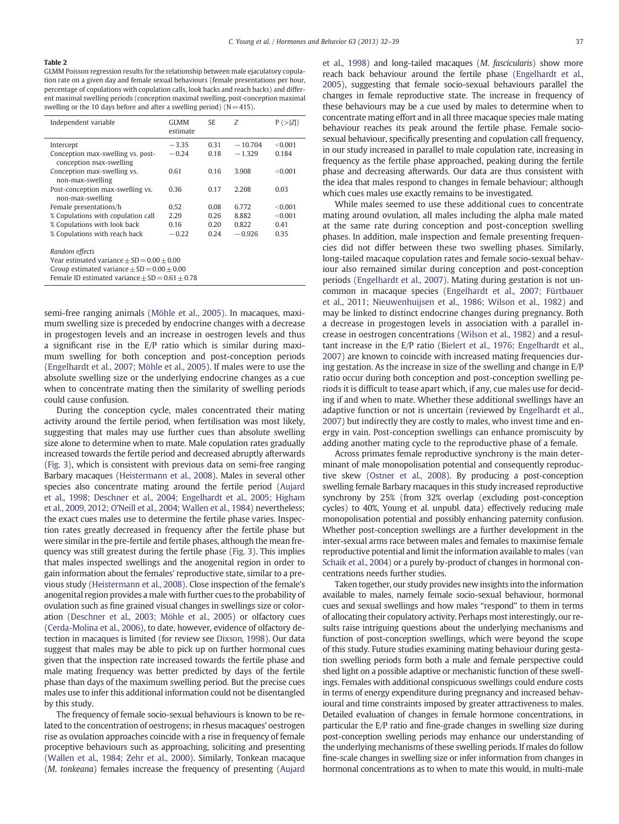#### <span id="page-5-0"></span>Table 2

GLMM Poisson regression results for the relationship between male ejaculatory copulation rate on a given day and female sexual behaviours (female presentations per hour, percentage of copulations with copulation calls, look backs and reach backs) and different maximal swelling periods (conception maximal swelling, post-conception maximal swelling or the 10 days before and after a swelling period) ( $N=415$ ).

| Independent variable                                         | <b>GLMM</b><br>estimate | SE.  | Z         | $P(>\vert Z \vert)$ |  |  |
|--------------------------------------------------------------|-------------------------|------|-----------|---------------------|--|--|
| Intercept                                                    | $-3.35$                 | 0.31 | $-10.704$ | < 0.001             |  |  |
| Conception max-swelling vs. post-<br>conception max-swelling | $-0.24$                 | 0.18 | $-1.329$  | 0.184               |  |  |
| Conception max-swelling vs.<br>non-max-swelling              | 0.61                    | 0.16 | 3.908     | < 0.001             |  |  |
| Post-conception max-swelling vs.<br>non-max-swelling         | 0.36                    | 0.17 | 2.208     | 0.03                |  |  |
| Female presentations/h                                       | 0.52                    | 0.08 | 6.772     | < 0.001             |  |  |
| % Copulations with copulation call                           | 2.29                    | 0.26 | 8.882     | < 0.001             |  |  |
| % Copulations with look back                                 | 0.16                    | 0.20 | 0.822     | 0.41                |  |  |
| % Copulations with reach back                                | $-0.22$                 | 0.24 | $-0.926$  | 0.35                |  |  |
| Random effects                                               |                         |      |           |                     |  |  |
| Year estimated variance $\pm$ SD = 0.00 $\pm$ 0.00           |                         |      |           |                     |  |  |
| Group estimated variance $\pm$ SD = 0.00 $\pm$ 0.00          |                         |      |           |                     |  |  |
| Female ID estimated variance $+$ SD $=$ 0.61 $+$ 0.78        |                         |      |           |                     |  |  |

semi-free ranging animals ([Möhle et al., 2005\)](#page-6-0). In macaques, maximum swelling size is preceded by endocrine changes with a decrease in progestogen levels and an increase in oestrogen levels and thus a significant rise in the E/P ratio which is similar during maximum swelling for both conception and post-conception periods [\(Engelhardt et al., 2007; Möhle et al., 2005](#page-6-0)). If males were to use the absolute swelling size or the underlying endocrine changes as a cue when to concentrate mating then the similarity of swelling periods could cause confusion.

During the conception cycle, males concentrated their mating activity around the fertile period, when fertilisation was most likely, suggesting that males may use further cues than absolute swelling size alone to determine when to mate. Male copulation rates gradually increased towards the fertile period and decreased abruptly afterwards [\(Fig. 3](#page-4-0)), which is consistent with previous data on semi-free ranging Barbary macaques [\(Heistermann et al., 2008](#page-6-0)). Males in several other species also concentrate mating around the fertile period ([Aujard](#page-6-0) [et al., 1998; Deschner et al., 2004; Engelhardt et al., 2005; Higham](#page-6-0) [et al., 2009, 2012; O'Neill et al., 2004; Wallen et al., 1984\)](#page-6-0) nevertheless; the exact cues males use to determine the fertile phase varies. Inspection rates greatly decreased in frequency after the fertile phase but were similar in the pre-fertile and fertile phases, although the mean frequency was still greatest during the fertile phase ([Fig. 3\)](#page-4-0). This implies that males inspected swellings and the anogenital region in order to gain information about the females' reproductive state, similar to a previous study ([Heistermann et al., 2008](#page-6-0)). Close inspection of the female's anogenital region provides a male with further cues to the probability of ovulation such as fine grained visual changes in swellings size or coloration [\(Deschner et al., 2003; Möhle et al., 2005\)](#page-6-0) or olfactory cues [\(Cerda-Molina et al., 2006\)](#page-6-0), to date, however, evidence of olfactory detection in macaques is limited (for review see [Dixson, 1998](#page-6-0)). Our data suggest that males may be able to pick up on further hormonal cues given that the inspection rate increased towards the fertile phase and male mating frequency was better predicted by days of the fertile phase than days of the maximum swelling period. But the precise cues males use to infer this additional information could not be disentangled by this study.

The frequency of female socio-sexual behaviours is known to be related to the concentration of oestrogens; in rhesus macaques' oestrogen rise as ovulation approaches coincide with a rise in frequency of female proceptive behaviours such as approaching, soliciting and presenting [\(Wallen et al., 1984; Zehr et al., 2000\)](#page-7-0). Similarly, Tonkean macaque (M. tonkeana) females increase the frequency of presenting ([Aujard](#page-6-0) [et al., 1998\)](#page-6-0) and long-tailed macaques (M. fascicularis) show more reach back behaviour around the fertile phase ([Engelhardt et al.,](#page-6-0) [2005](#page-6-0)), suggesting that female socio-sexual behaviours parallel the changes in female reproductive state. The increase in frequency of these behaviours may be a cue used by males to determine when to concentrate mating effort and in all three macaque species male mating behaviour reaches its peak around the fertile phase. Female sociosexual behaviour, specifically presenting and copulation call frequency, in our study increased in parallel to male copulation rate, increasing in frequency as the fertile phase approached, peaking during the fertile phase and decreasing afterwards. Our data are thus consistent with the idea that males respond to changes in female behaviour; although which cues males use exactly remains to be investigated.

While males seemed to use these additional cues to concentrate mating around ovulation, all males including the alpha male mated at the same rate during conception and post-conception swelling phases. In addition, male inspection and female presenting frequencies did not differ between these two swelling phases. Similarly, long-tailed macaque copulation rates and female socio-sexual behaviour also remained similar during conception and post-conception periods ([Engelhardt et al., 2007\)](#page-6-0). Mating during gestation is not uncommon in macaque species [\(Engelhardt et al., 2007; Fürtbauer](#page-6-0) [et al., 2011; Nieuwenhuijsen et al., 1986; Wilson et al., 1982](#page-6-0)) and may be linked to distinct endocrine changes during pregnancy. Both a decrease in progestogen levels in association with a parallel increase in oestrogen concentrations ([Wilson et al., 1982\)](#page-7-0) and a resultant increase in the E/P ratio ([Bielert et al., 1976; Engelhardt et al.,](#page-6-0) [2007\)](#page-6-0) are known to coincide with increased mating frequencies during gestation. As the increase in size of the swelling and change in E/P ratio occur during both conception and post-conception swelling periods it is difficult to tease apart which, if any, cue males use for deciding if and when to mate. Whether these additional swellings have an adaptive function or not is uncertain (reviewed by [Engelhardt et al.,](#page-6-0) [2007\)](#page-6-0) but indirectly they are costly to males, who invest time and energy in vain. Post-conception swellings can enhance promiscuity by adding another mating cycle to the reproductive phase of a female.

Across primates female reproductive synchrony is the main determinant of male monopolisation potential and consequently reproductive skew [\(Ostner et al., 2008](#page-6-0)). By producing a post-conception swelling female Barbary macaques in this study increased reproductive synchrony by 25% (from 32% overlap (excluding post-conception cycles) to 40%, Young et al. unpubl. data) effectively reducing male monopolisation potential and possibly enhancing paternity confusion. Whether post-conception swellings are a further development in the inter-sexual arms race between males and females to maximise female reproductive potential and limit the information available to males ([van](#page-7-0) [Schaik et al., 2004\)](#page-7-0) or a purely by-product of changes in hormonal concentrations needs further studies.

Taken together, our study provides new insights into the information available to males, namely female socio-sexual behaviour, hormonal cues and sexual swellings and how males "respond" to them in terms of allocating their copulatory activity. Perhaps most interestingly, our results raise intriguing questions about the underlying mechanisms and function of post-conception swellings, which were beyond the scope of this study. Future studies examining mating behaviour during gestation swelling periods form both a male and female perspective could shed light on a possible adaptive or mechanistic function of these swellings. Females with additional conspicuous swellings could endure costs in terms of energy expenditure during pregnancy and increased behavioural and time constraints imposed by greater attractiveness to males. Detailed evaluation of changes in female hormone concentrations, in particular the E/P ratio and fine-grade changes in swelling size during post-conception swelling periods may enhance our understanding of the underlying mechanisms of these swelling periods. If males do follow fine-scale changes in swelling size or infer information from changes in hormonal concentrations as to when to mate this would, in multi-male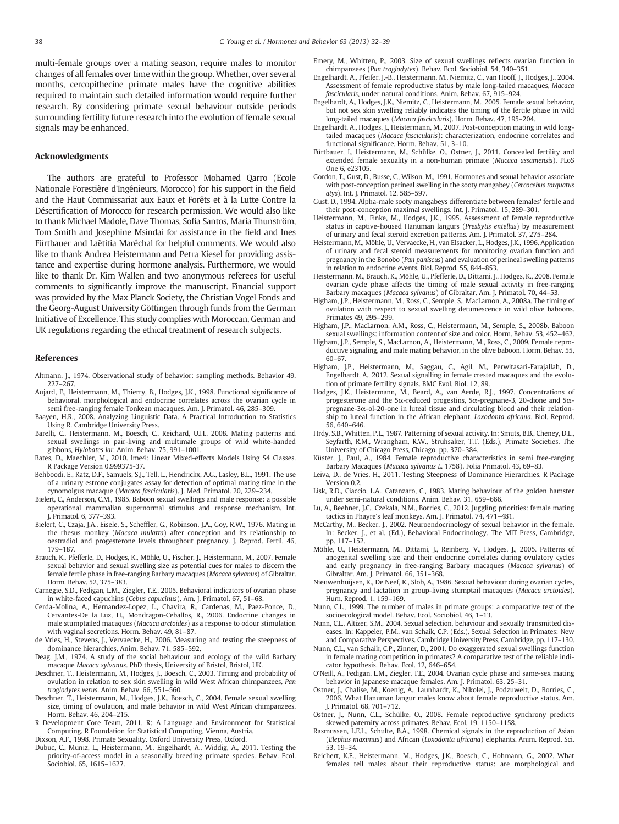<span id="page-6-0"></span>multi-female groups over a mating season, require males to monitor changes of all females over time within the group. Whether, over several months, cercopithecine primate males have the cognitive abilities required to maintain such detailed information would require further research. By considering primate sexual behaviour outside periods surrounding fertility future research into the evolution of female sexual signals may be enhanced.

# Acknowledgments

The authors are grateful to Professor Mohamed Qarro (Ecole Nationale Forestière d'Ingénieurs, Morocco) for his support in the field and the Haut Commissariat aux Eaux et Forêts et à la Lutte Contre la Désertification of Morocco for research permission. We would also like to thank Michael Madole, Dave Thomas, Sofia Santos, Maria Thunström, Tom Smith and Josephine Msindai for assistance in the field and Ines Fürtbauer and Laëtitia Maréchal for helpful comments. We would also like to thank Andrea Heistermann and Petra Kiesel for providing assistance and expertise during hormone analysis. Furthermore, we would like to thank Dr. Kim Wallen and two anonymous referees for useful comments to significantly improve the manuscript. Financial support was provided by the Max Planck Society, the Christian Vogel Fonds and the Georg-August University Göttingen through funds from the German Initiative of Excellence. This study complies with Moroccan, German and UK regulations regarding the ethical treatment of research subjects.

### References

- Altmann, J., 1974. Observational study of behavior: sampling methods. Behavior 49, 227–267.
- Aujard, F., Heistermann, M., Thierry, B., Hodges, J.K., 1998. Functional significance of behavioral, morphological and endocrine correlates across the ovarian cycle in semi free-ranging female Tonkean macaques. Am. J. Primatol. 46, 285–309.
- Baayen, H.R., 2008. Analyzing Linguistic Data. A Practical Introduction to Statistics Using R. Cambridge University Press.
- Barelli, C., Heistermann, M., Boesch, C., Reichard, U.H., 2008. Mating patterns and sexual swellings in pair-living and multimale groups of wild white-handed gibbons, Hylobates lar. Anim. Behav. 75, 991–1001.
- Bates, D., Maechler, M., 2010. lme4: Linear Mixed-effects Models Using S4 Classes. R Package Version 0.999375-37.
- Behboodi, E., Katz, D.F., Samuels, S.J., Tell, L., Hendrickx, A.G., Lasley, B.L., 1991. The use of a urinary estrone conjugates assay for detection of optimal mating time in the cynomolgus macaque (Macaca fascicularis). J. Med. Primatol. 20, 229–234.
- Bielert, C., Anderson, C.M., 1985. Baboon sexual swellings and male response: a possible operational mammalian supernormal stimulus and response mechanism. Int. J. Primatol. 6, 377–393.
- Bielert, C., Czaja, J.A., Eisele, S., Scheffler, G., Robinson, J.A., Goy, R.W., 1976. Mating in the rhesus monkey (Macaca mulatta) after conception and its relationship to oestradiol and progesterone levels throughout pregnancy. J. Reprod. Fertil. 46, 179–187.
- Brauch, K., Pfefferle, D., Hodges, K., Möhle, U., Fischer, J., Heistermann, M., 2007. Female sexual behavior and sexual swelling size as potential cues for males to discern the female fertile phase in free-ranging Barbary macaques (Macaca sylvanus) of Gibraltar. Horm. Behav. 52, 375–383.
- Carnegie, S.D., Fedigan, L.M., Ziegler, T.E., 2005. Behavioral indicators of ovarian phase in white-faced capuchins (Cebus capucinus). Am. J. Primatol. 67, 51–68.
- Cerda-Molina, A., Hernandez-Lopez, L., Chavira, R., Cardenas, M., Paez-Ponce, D., Cervantes-De la Luz, H., Mondragon-Ceballos, R., 2006. Endocrine changes in male stumptailed macaques (Macaca arctoides) as a response to odour stimulation with vaginal secretions. Horm. Behav. 49, 81–87.
- de Vries, H., Stevens, J., Vervaecke, H., 2006. Measuring and testing the steepness of dominance hierarchies. Anim. Behav. 71, 585–592.
- Deag, J.M., 1974. A study of the social behaviour and ecology of the wild Barbary macaque Macaca sylvanus. PhD thesis, University of Bristol, Bristol, UK.
- Deschner, T., Heistermann, M., Hodges, J., Boesch, C., 2003. Timing and probability of ovulation in relation to sex skin swelling in wild West African chimpanzees, Pan troglodytes verus. Anim. Behav. 66, 551–560.
- Deschner, T., Heistermann, M., Hodges, J.K., Boesch, C., 2004. Female sexual swelling size, timing of ovulation, and male behavior in wild West African chimpanzees. Horm. Behav. 46, 204–215.
- R Development Core Team, 2011. R: A Language and Environment for Statistical Computing. R Foundation for Statistical Computing, Vienna, Austria.
- Dixson, A.F., 1998. Primate Sexuality. Oxford University Press, Oxford.
- Dubuc, C., Muniz, L., Heistermann, M., Engelhardt, A., Widdig, A., 2011. Testing the priority-of-access model in a seasonally breeding primate species. Behav. Ecol. Sociobiol. 65, 1615–1627.
- Emery, M., Whitten, P., 2003. Size of sexual swellings reflects ovarian function in chimpanzees (Pan troglodytes). Behav. Ecol. Sociobiol. 54, 340–351.
- Engelhardt, A., Pfeifer, J.-B., Heistermann, M., Niemitz, C., van Hooff, J., Hodges, J., 2004. Assessment of female reproductive status by male long-tailed macaques, Macaca fascicularis, under natural conditions. Anim. Behav. 67, 915–924.
- Engelhardt, A., Hodges, J.K., Niemitz, C., Heistermann, M., 2005. Female sexual behavior, but not sex skin swelling reliably indicates the timing of the fertile phase in wild long-tailed macaques (Macaca fascicularis). Horm. Behav. 47, 195–204.
- Engelhardt, A., Hodges, J., Heistermann, M., 2007. Post-conception mating in wild longtailed macaques (Macaca fascicularis): characterization, endocrine correlates and functional significance. Horm. Behav. 51, 3–10.
- Fürtbauer, I., Heistermann, M., Schülke, O., Ostner, J., 2011. Concealed fertility and extended female sexuality in a non-human primate (Macaca assamensis). PLoS One 6, e23105.
- Gordon, T., Gust, D., Busse, C., Wilson, M., 1991. Hormones and sexual behavior associate with post-conception perineal swelling in the sooty mangabey (Cercocebus torquatus atys). Int. J. Primatol. 12, 585–597.
- Gust, D., 1994. Alpha-male sooty mangabeys differentiate between females' fertile and their post-conception maximal swellings. Int. J. Primatol. 15, 289–301.
- Heistermann, M., Finke, M., Hodges, J.K., 1995. Assessment of female reproductive status in captive-housed Hanuman langurs (Presbytis entellus) by measurement of urinary and fecal steroid excretion patterns. Am. J. Primatol. 37, 275–284.
- Heistermann, M., Möhle, U., Vervaecke, H., van Elsacker, L., Hodges, J.K., 1996. Application of urinary and fecal steroid measurements for monitoring ovarian function and pregnancy in the Bonobo (Pan paniscus) and evaluation of perineal swelling patterns in relation to endocrine events. Biol. Reprod. 55, 844–853.
- Heistermann, M., Brauch, K., Möhle, U., Pfefferle, D., Dittami, J., Hodges, K., 2008. Female ovarian cycle phase affects the timing of male sexual activity in free-ranging Barbary macaques (Macaca sylvanus) of Gibraltar. Am. J. Primatol. 70, 44–53.
- Higham, J.P., Heistermann, M., Ross, C., Semple, S., MacLarnon, A., 2008a. The timing of ovulation with respect to sexual swelling detumescence in wild olive baboons. Primates 49, 295–299.
- Higham, J.P., MacLarnon, A.M., Ross, C., Heistermann, M., Semple, S., 2008b. Baboon sexual swellings: information content of size and color. Horm. Behav. 53, 452–462.
- Higham, J.P., Semple, S., MacLarnon, A., Heistermann, M., Ross, C., 2009. Female reproductive signaling, and male mating behavior, in the olive baboon. Horm. Behav. 55, 60–67.
- Higham, J.P., Heistermann, M., Saggau, C., Agil, M., Perwitasari-Farajallah, D., Engelhardt, A., 2012. Sexual signalling in female crested macaques and the evolution of primate fertility signals. BMC Evol. Biol. 12, 89.
- Hodges, J.K., Heistermann, M., Beard, A., van Aerde, R.J., 1997. Concentrations of progesterone and the 5α-reduced progestins, 5α-pregnane-3, 20-dione and 5αpregnane-3α-ol-20-one in luteal tissue and circulating blood and their relationship to luteal function in the African elephant, Loxodonta africana. Biol. Reprod. 56, 640–646.
- Hrdy, S.B., Whitten, P.L., 1987. Patterning of sexual activity. In: Smuts, B.B., Cheney, D.L., Seyfarth, R.M., Wrangham, R.W., Struhsaker, T.T. (Eds.), Primate Societies. The University of Chicago Press, Chicago, pp. 370–384.
- Küster, J., Paul, A., 1984. Female reproductive characteristics in semi free-ranging Barbary Macaques (Macaca sylvanus L. 1758). Folia Primatol. 43, 69–83.
- Leiva, D., de Vries, H., 2011. Testing Steepness of Dominance Hierarchies. R Package Version 0.2.
- Lisk, R.D., Ciaccio, L.A., Catanzaro, C., 1983. Mating behaviour of the golden hamster under semi-natural conditions. Anim. Behav. 31, 659–666.
- Lu, A., Beehner, J.C., Czekala, N.M., Borries, C., 2012. Juggling priorities: female mating tactics in Phayre's leaf monkeys. Am. J. Primatol. 74, 471–481.
- McCarthy, M., Becker, J., 2002. Neuroendocrinology of sexual behavior in the female. In: Becker, J., et al. (Ed.), Behavioral Endocrinology. The MIT Press, Cambridge, pp. 117–152.
- Möhle, U., Heistermann, M., Dittami, J., Reinberg, V., Hodges, J., 2005. Patterns of anogenital swelling size and their endocrine correlates during ovulatory cycles and early pregnancy in free-ranging Barbary macaques (Macaca sylvanus) of Gibraltar. Am. J. Primatol. 66, 351–368.
- Nieuwenhuijsen, K., De Neef, K., Slob, A., 1986. Sexual behaviour during ovarian cycles, pregnancy and lactation in group-living stumptail macaques (Macaca arctoides). Hum. Reprod. 1, 159–169.
- Nunn, C.L., 1999. The number of males in primate groups: a comparative test of the socioecological model. Behav. Ecol. Sociobiol. 46, 1–13.
- Nunn, C.L., Altizer, S.M., 2004. Sexual selection, behaviour and sexually transmitted diseases. In: Kappeler, P.M., van Schaik, C.P. (Eds.), Sexual Selection in Primates: New and Comparative Perspectives. Cambridge University Press, Cambridge, pp. 117–130.
- Nunn, C.L., van Schaik, C.P., Zinner, D., 2001. Do exaggerated sexual swellings function in female mating competition in primates? A comparative test of the reliable indicator hypothesis. Behav. Ecol. 12, 646–654.
- O'Neill, A., Fedigan, L.M., Ziegler, T.E., 2004. Ovarian cycle phase and same-sex mating behavior in Japanese macaque females. Am. J. Primatol. 63, 25–31.
- Ostner, J., Chalise, M., Koenig, A., Launhardt, K., Nikolei, J., Podzuweit, D., Borries, C., 2006. What Hanuman langur males know about female reproductive status. Am. J. Primatol. 68, 701–712.
- Ostner, J., Nunn, C.L., Schülke, O., 2008. Female reproductive synchrony predicts skewed paternity across primates. Behav. Ecol. 19, 1150–1158.
- Rasmussen, L.E.L., Schulte, B.A., 1998. Chemical signals in the reproduction of Asian (Elephas maximus) and African (Loxodonta africana) elephants. Anim. Reprod. Sci. 53, 19–34.
- Reichert, K.E., Heistermann, M., Hodges, J.K., Boesch, C., Hohmann, G., 2002. What females tell males about their reproductive status: are morphological and